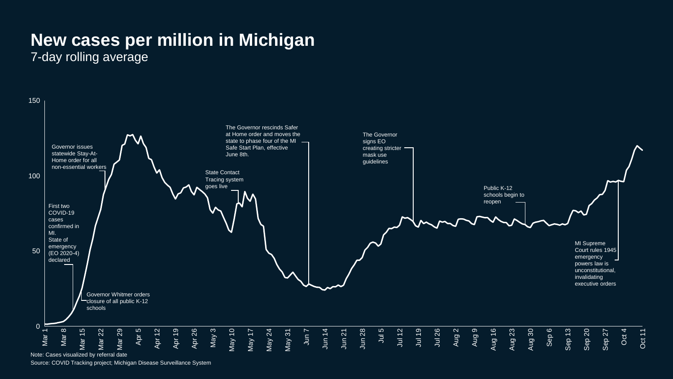## **New cases per million in Michigan**

7-day rolling average



Note: Cases visualized by referral date

Source: COVID Tracking project; Michigan Disease Surveillance System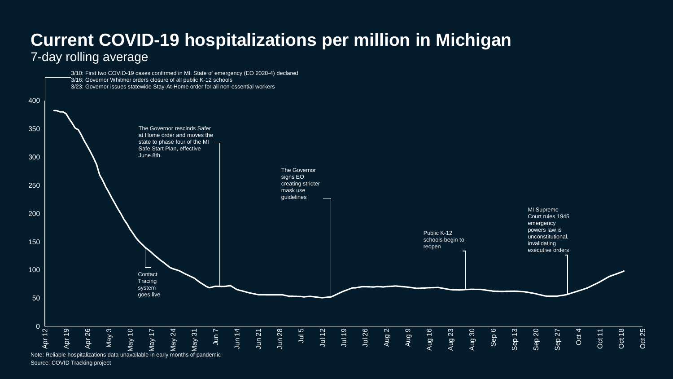## **Current COVID-19 hospitalizations per million in Michigan** 7-day rolling average



Source: COVID Tracking project